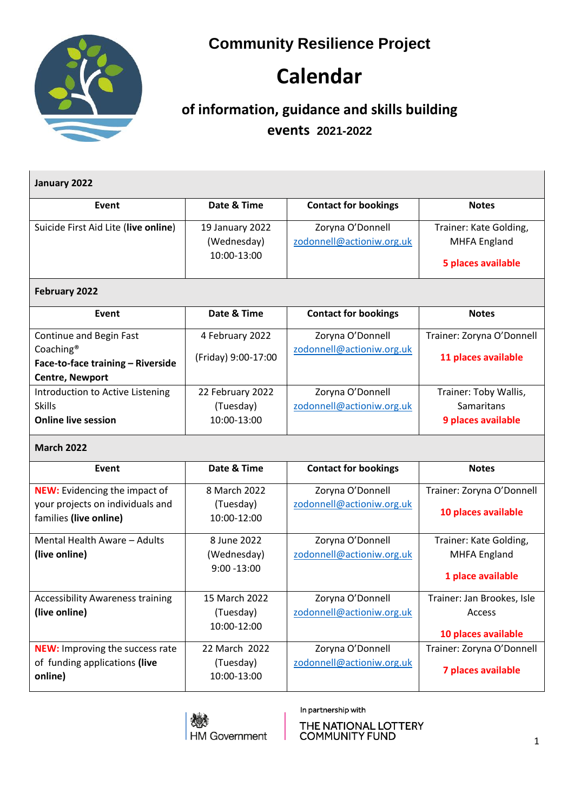**Community Resilience Project**

## **Calendar**

## **of information, guidance and skills building events 2021-2022**

| January 2022                                                                                                    |                                               |                                               |                                                                     |
|-----------------------------------------------------------------------------------------------------------------|-----------------------------------------------|-----------------------------------------------|---------------------------------------------------------------------|
| Event                                                                                                           | Date & Time                                   | <b>Contact for bookings</b>                   | <b>Notes</b>                                                        |
| Suicide First Aid Lite (live online)                                                                            | 19 January 2022<br>(Wednesday)<br>10:00-13:00 | Zoryna O'Donnell<br>zodonnell@actioniw.org.uk | Trainer: Kate Golding,<br><b>MHFA England</b><br>5 places available |
| February 2022                                                                                                   |                                               |                                               |                                                                     |
| Event                                                                                                           | Date & Time                                   | <b>Contact for bookings</b>                   | <b>Notes</b>                                                        |
| Continue and Begin Fast<br>Coaching <sup>®</sup><br>Face-to-face training - Riverside<br><b>Centre, Newport</b> | 4 February 2022<br>(Friday) 9:00-17:00        | Zoryna O'Donnell<br>zodonnell@actioniw.org.uk | Trainer: Zoryna O'Donnell<br>11 places available                    |
| Introduction to Active Listening<br><b>Skills</b><br><b>Online live session</b>                                 | 22 February 2022<br>(Tuesday)<br>10:00-13:00  | Zoryna O'Donnell<br>zodonnell@actioniw.org.uk | Trainer: Toby Wallis,<br>Samaritans<br>9 places available           |
| <b>March 2022</b>                                                                                               |                                               |                                               |                                                                     |
| Event                                                                                                           | Date & Time                                   | <b>Contact for bookings</b>                   | <b>Notes</b>                                                        |
| <b>NEW:</b> Evidencing the impact of<br>your projects on individuals and<br>families (live online)              | 8 March 2022<br>(Tuesday)<br>10:00-12:00      | Zoryna O'Donnell<br>zodonnell@actioniw.org.uk | Trainer: Zoryna O'Donnell<br>10 places available                    |
| Mental Health Aware - Adults<br>(live online)                                                                   | 8 June 2022<br>(Wednesday)<br>$9:00 - 13:00$  | Zoryna O'Donnell<br>zodonnell@actioniw.org.uk | Trainer: Kate Golding,<br><b>MHFA England</b><br>1 place available  |
| <b>Accessibility Awareness training</b><br>(live online)                                                        | 15 March 2022<br>(Tuesday)<br>10:00-12:00     | Zoryna O'Donnell<br>zodonnell@actioniw.org.uk | Trainer: Jan Brookes, Isle<br>Access<br>10 places available         |
| <b>NEW:</b> Improving the success rate<br>of funding applications (live<br>online)                              | 22 March 2022<br>(Tuesday)<br>10:00-13:00     | Zoryna O'Donnell<br>zodonnell@actioniw.org.uk | Trainer: Zoryna O'Donnell<br>7 places available                     |



In partnership with